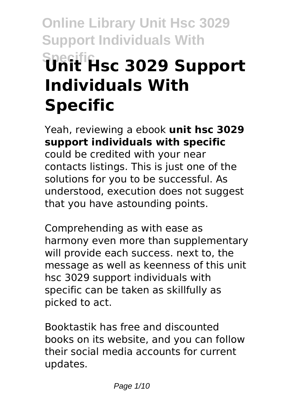# **Online Library Unit Hsc 3029 Support Individuals With Specific Unit Hsc 3029 Support Individuals With Specific**

Yeah, reviewing a ebook **unit hsc 3029 support individuals with specific** could be credited with your near contacts listings. This is just one of the solutions for you to be successful. As understood, execution does not suggest that you have astounding points.

Comprehending as with ease as harmony even more than supplementary will provide each success. next to, the message as well as keenness of this unit hsc 3029 support individuals with specific can be taken as skillfully as picked to act.

Booktastik has free and discounted books on its website, and you can follow their social media accounts for current updates.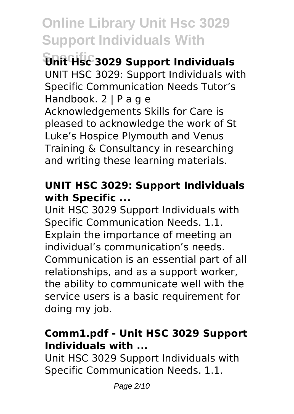**Specific Unit Hsc 3029 Support Individuals** UNIT HSC 3029: Support Individuals with Specific Communication Needs Tutor's Handbook. 2 | P a g e Acknowledgements Skills for Care is pleased to acknowledge the work of St Luke's Hospice Plymouth and Venus Training & Consultancy in researching and writing these learning materials.

### **UNIT HSC 3029: Support Individuals with Specific ...**

Unit HSC 3029 Support Individuals with Specific Communication Needs. 1.1. Explain the importance of meeting an individual's communication's needs. Communication is an essential part of all relationships, and as a support worker, the ability to communicate well with the service users is a basic requirement for doing my job.

### **Comm1.pdf - Unit HSC 3029 Support Individuals with ...**

Unit HSC 3029 Support Individuals with Specific Communication Needs. 1.1.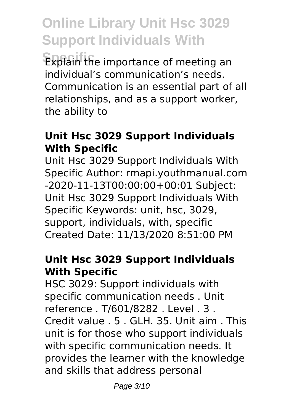**Specific** Explain the importance of meeting an individual's communication's needs. Communication is an essential part of all relationships, and as a support worker, the ability to

### **Unit Hsc 3029 Support Individuals With Specific**

Unit Hsc 3029 Support Individuals With Specific Author: rmapi.youthmanual.com -2020-11-13T00:00:00+00:01 Subject: Unit Hsc 3029 Support Individuals With Specific Keywords: unit, hsc, 3029, support, individuals, with, specific Created Date: 11/13/2020 8:51:00 PM

#### **Unit Hsc 3029 Support Individuals With Specific**

HSC 3029: Support individuals with specific communication needs . Unit reference . T/601/8282 . Level . 3 . Credit value . 5 . GLH. 35. Unit aim . This unit is for those who support individuals with specific communication needs. It provides the learner with the knowledge and skills that address personal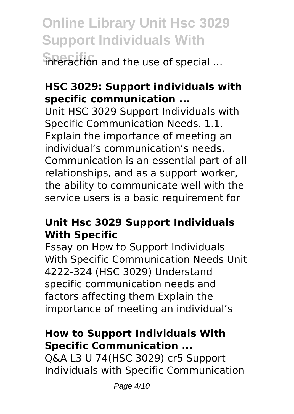**Online Library Unit Hsc 3029 Support Individuals With** interaction and the use of special ...

### **HSC 3029: Support individuals with specific communication ...**

Unit HSC 3029 Support Individuals with Specific Communication Needs. 1.1. Explain the importance of meeting an individual's communication's needs. Communication is an essential part of all relationships, and as a support worker, the ability to communicate well with the service users is a basic requirement for

### **Unit Hsc 3029 Support Individuals With Specific**

Essay on How to Support Individuals With Specific Communication Needs Unit 4222-324 (HSC 3029) Understand specific communication needs and factors affecting them Explain the importance of meeting an individual's

### **How to Support Individuals With Specific Communication ...**

Q&A L3 U 74(HSC 3029) cr5 Support Individuals with Specific Communication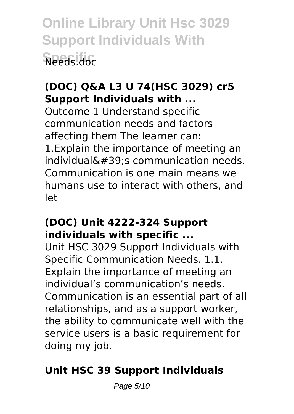**Online Library Unit Hsc 3029 Support Individuals With Specific** Needs.doc

### **(DOC) Q&A L3 U 74(HSC 3029) cr5 Support Individuals with ...**

Outcome 1 Understand specific communication needs and factors affecting them The learner can: 1.Explain the importance of meeting an  $individual& #39:s$  communication needs. Communication is one main means we humans use to interact with others, and let

#### **(DOC) Unit 4222-324 Support individuals with specific ...**

Unit HSC 3029 Support Individuals with Specific Communication Needs. 1.1. Explain the importance of meeting an individual's communication's needs. Communication is an essential part of all relationships, and as a support worker, the ability to communicate well with the service users is a basic requirement for doing my job.

### **Unit HSC 39 Support Individuals**

Page 5/10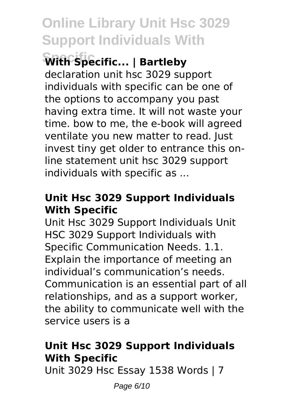**Specific With Specific... | Bartleby**

declaration unit hsc 3029 support individuals with specific can be one of the options to accompany you past having extra time. It will not waste your time. bow to me, the e-book will agreed ventilate you new matter to read. Just invest tiny get older to entrance this online statement unit hsc 3029 support individuals with specific as ...

### **Unit Hsc 3029 Support Individuals With Specific**

Unit Hsc 3029 Support Individuals Unit HSC 3029 Support Individuals with Specific Communication Needs. 1.1. Explain the importance of meeting an individual's communication's needs. Communication is an essential part of all relationships, and as a support worker, the ability to communicate well with the service users is a

### **Unit Hsc 3029 Support Individuals With Specific**

Unit 3029 Hsc Essay 1538 Words | 7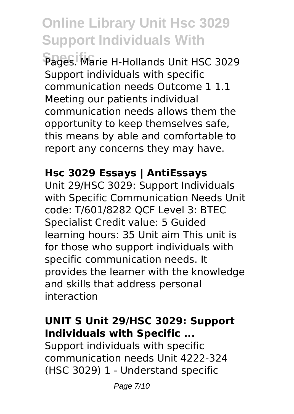Pages. Marie H-Hollands Unit HSC 3029 Support individuals with specific communication needs Outcome 1 1.1 Meeting our patients individual communication needs allows them the opportunity to keep themselves safe, this means by able and comfortable to report any concerns they may have.

### **Hsc 3029 Essays | AntiEssays**

Unit 29/HSC 3029: Support Individuals with Specific Communication Needs Unit code: T/601/8282 QCF Level 3: BTEC Specialist Credit value: 5 Guided learning hours: 35 Unit aim This unit is for those who support individuals with specific communication needs. It provides the learner with the knowledge and skills that address personal interaction

### **UNIT S Unit 29/HSC 3029: Support Individuals with Specific ...**

Support individuals with specific communication needs Unit 4222-324 (HSC 3029) 1 - Understand specific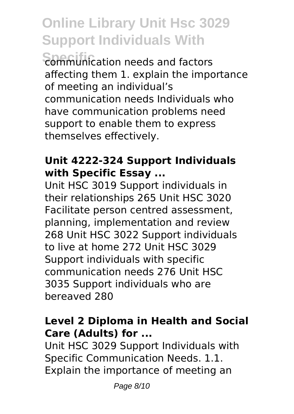**Sommunication needs and factors** affecting them 1. explain the importance of meeting an individual's communication needs Individuals who have communication problems need support to enable them to express themselves effectively.

### **Unit 4222-324 Support Individuals with Specific Essay ...**

Unit HSC 3019 Support individuals in their relationships 265 Unit HSC 3020 Facilitate person centred assessment, planning, implementation and review 268 Unit HSC 3022 Support individuals to live at home 272 Unit HSC 3029 Support individuals with specific communication needs 276 Unit HSC 3035 Support individuals who are bereaved 280

### **Level 2 Diploma in Health and Social Care (Adults) for ...**

Unit HSC 3029 Support Individuals with Specific Communication Needs. 1.1. Explain the importance of meeting an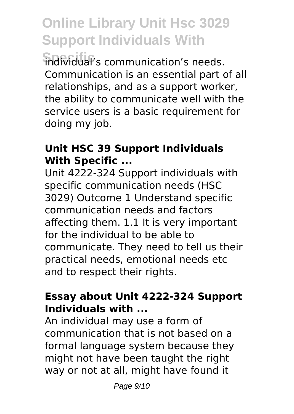*<u>Fidividual's</u>* communication's needs. Communication is an essential part of all relationships, and as a support worker, the ability to communicate well with the service users is a basic requirement for doing my job.

### **Unit HSC 39 Support Individuals With Specific ...**

Unit 4222-324 Support individuals with specific communication needs (HSC 3029) Outcome 1 Understand specific communication needs and factors affecting them. 1.1 It is very important for the individual to be able to communicate. They need to tell us their practical needs, emotional needs etc and to respect their rights.

### **Essay about Unit 4222-324 Support Individuals with ...**

An individual may use a form of communication that is not based on a formal language system because they might not have been taught the right way or not at all, might have found it